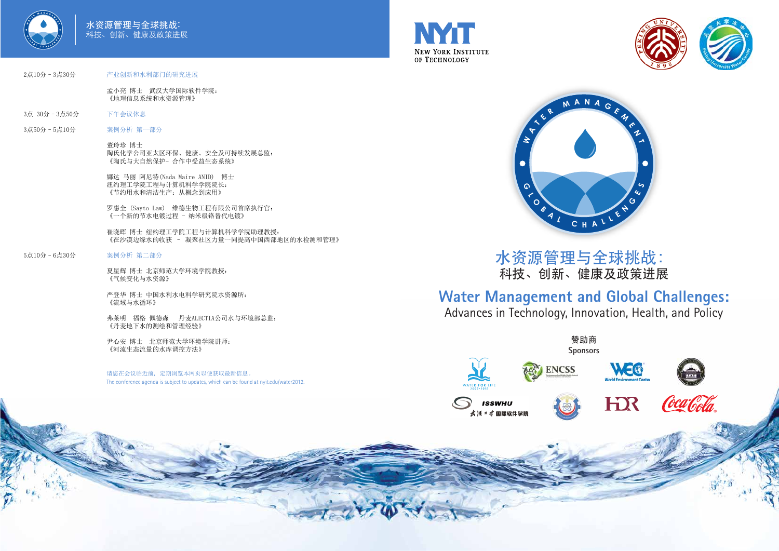





# **Water Management and Global Challenges:**

Advances in Technology, Innovation, Health, and Policy

水资源管理与全球挑战: 科技、创新、健康及政策进展



















## 2点10分–3点30分 产业创新和水利部门的研究进展

孟小亮 博士 武汉大学国际软件学院: 《地理信息系统和水资源管理》

- 3点 30分–3点50分 下午会议休息
- 3点50分–5点10分 案例分析 第一部分

董玲珍 博士 陶氏化学公司亚太区环保、健康、安全及可持续发展总监: 《陶氏与大自然保护- 合作中受益生态系统》

娜达 马丽 阿尼特(Nada Maire ANID) 博士 纽约理工学院工程与计算机科学学院院长: 《节约用水和清洁生产:从概念到应用》

罗惠全 (Sayto Law) 维德生物工程有限公司首席执行官: 《一个新的节水电镀过程 - 纳米级铬替代电镀》

崔晓晖 博士 纽约理工学院工程与计算机科学学院助理教授: 《在沙漠边缘水的收获 – 凝聚社区力量一同提高中国西部地区的水检测和管理》

## 5点10分–6点30分 案例分析 第二部分

夏星辉 博士 北京师范大学环境学院教授: 《气候变化与水资源》

严登华 博士 中国水利水电科学研究院水资源所: 《流域与水循环》

弗莱明 福格 佩德森 丹麦ALECTIA公司水与环境部总监: 《丹麦地下水的测绘和管理经验》

尹心安 博士 北京师范大学环境学院讲师: 《河流生态流量的水库调控方法》

请您在会议临近前, 定期浏览本网页以便获取最新信息。 The conference agenda is subject to updates, which can be found at nyit.edu/water2012.